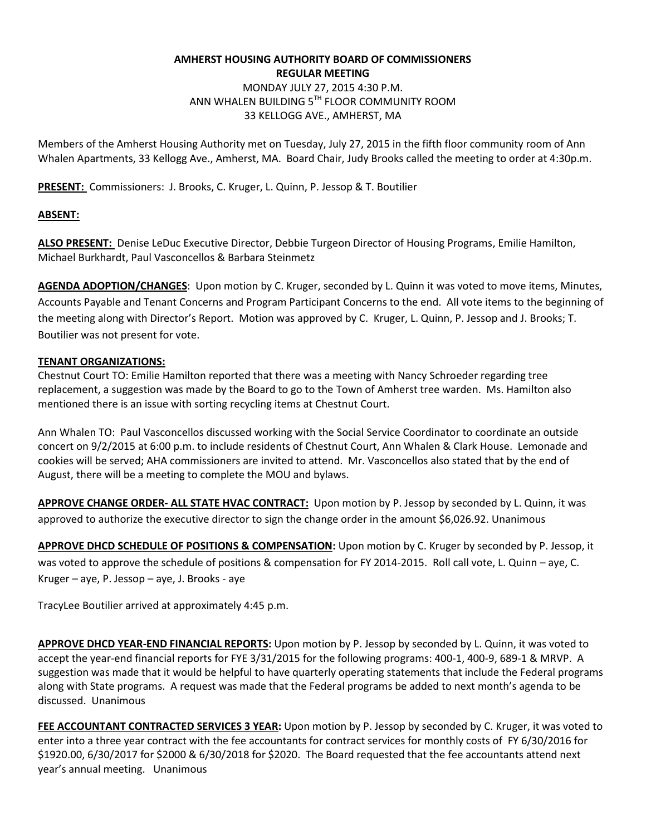### **AMHERST HOUSING AUTHORITY BOARD OF COMMISSIONERS REGULAR MEETING**

MONDAY JULY 27, 2015 4:30 P.M. ANN WHALEN BUILDING 5TH FLOOR COMMUNITY ROOM 33 KELLOGG AVE., AMHERST, MA

Members of the Amherst Housing Authority met on Tuesday, July 27, 2015 in the fifth floor community room of Ann Whalen Apartments, 33 Kellogg Ave., Amherst, MA. Board Chair, Judy Brooks called the meeting to order at 4:30p.m.

**PRESENT:** Commissioners: J. Brooks, C. Kruger, L. Quinn, P. Jessop & T. Boutilier

# **ABSENT:**

**ALSO PRESENT:** Denise LeDuc Executive Director, Debbie Turgeon Director of Housing Programs, Emilie Hamilton, Michael Burkhardt, Paul Vasconcellos & Barbara Steinmetz

**AGENDA ADOPTION/CHANGES**: Upon motion by C. Kruger, seconded by L. Quinn it was voted to move items, Minutes, Accounts Payable and Tenant Concerns and Program Participant Concerns to the end. All vote items to the beginning of the meeting along with Director's Report. Motion was approved by C. Kruger, L. Quinn, P. Jessop and J. Brooks; T. Boutilier was not present for vote.

## **TENANT ORGANIZATIONS:**

Chestnut Court TO: Emilie Hamilton reported that there was a meeting with Nancy Schroeder regarding tree replacement, a suggestion was made by the Board to go to the Town of Amherst tree warden. Ms. Hamilton also mentioned there is an issue with sorting recycling items at Chestnut Court.

Ann Whalen TO: Paul Vasconcellos discussed working with the Social Service Coordinator to coordinate an outside concert on 9/2/2015 at 6:00 p.m. to include residents of Chestnut Court, Ann Whalen & Clark House. Lemonade and cookies will be served; AHA commissioners are invited to attend. Mr. Vasconcellos also stated that by the end of August, there will be a meeting to complete the MOU and bylaws.

**APPROVE CHANGE ORDER- ALL STATE HVAC CONTRACT:** Upon motion by P. Jessop by seconded by L. Quinn, it was approved to authorize the executive director to sign the change order in the amount \$6,026.92. Unanimous

**APPROVE DHCD SCHEDULE OF POSITIONS & COMPENSATION:** Upon motion by C. Kruger by seconded by P. Jessop, it was voted to approve the schedule of positions & compensation for FY 2014-2015. Roll call vote, L. Quinn – aye, C. Kruger – aye, P. Jessop – aye, J. Brooks - aye

TracyLee Boutilier arrived at approximately 4:45 p.m.

**APPROVE DHCD YEAR-END FINANCIAL REPORTS:** Upon motion by P. Jessop by seconded by L. Quinn, it was voted to accept the year-end financial reports for FYE 3/31/2015 for the following programs: 400-1, 400-9, 689-1 & MRVP. A suggestion was made that it would be helpful to have quarterly operating statements that include the Federal programs along with State programs. A request was made that the Federal programs be added to next month's agenda to be discussed. Unanimous

**FEE ACCOUNTANT CONTRACTED SERVICES 3 YEAR:** Upon motion by P. Jessop by seconded by C. Kruger, it was voted to enter into a three year contract with the fee accountants for contract services for monthly costs of FY 6/30/2016 for \$1920.00, 6/30/2017 for \$2000 & 6/30/2018 for \$2020. The Board requested that the fee accountants attend next year's annual meeting. Unanimous